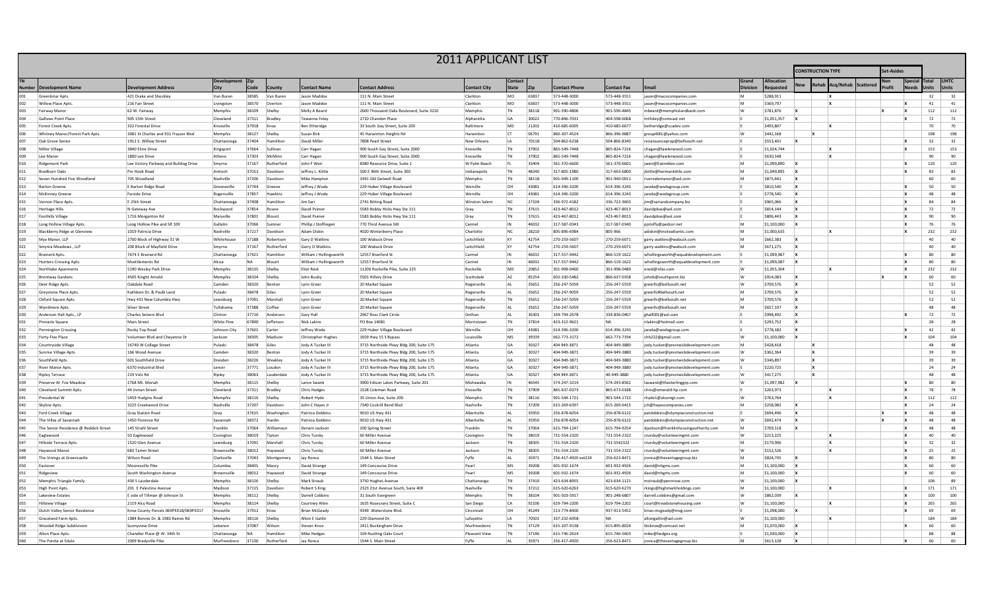|                                         |                                         |                   |                |                 |                                        |                                                                                    | <b>2011 APPLICANT LIST</b> |                  |                          |                              |                              |                                                                              |                   |                        |             |              |           |         |             |        |                       |                       |
|-----------------------------------------|-----------------------------------------|-------------------|----------------|-----------------|----------------------------------------|------------------------------------------------------------------------------------|----------------------------|------------------|--------------------------|------------------------------|------------------------------|------------------------------------------------------------------------------|-------------------|------------------------|-------------|--------------|-----------|---------|-------------|--------|-----------------------|-----------------------|
|                                         |                                         |                   |                |                 |                                        |                                                                                    |                            |                  | <b>CONSTRUCTION TYPE</b> |                              |                              |                                                                              | et-Asides         |                        |             |              |           |         |             |        |                       |                       |
| <b>Development Name</b>                 | <b>Development Address</b>              |                   | Code           |                 | <b>Contact Name</b>                    | <b>Contact Address</b>                                                             | <b>Contact City</b>        | Contact<br>State |                          | <b>Contact Phone</b>         | Contact Fax                  |                                                                              | Grand             | llocation<br>equester  |             | ehal         | Acq/Rehab | Scatter | <b>ofit</b> | Specia | Total<br><b>Inits</b> | <b>LIHTC</b><br>Units |
| Greenbriar Apts.                        | 421 Drake and Shockley                  | Van Burer         | 38585          | Van Buren       | Jason Maddox                           | 111 N. Main Street                                                                 | Clarkto                    | MO               | 63837                    | 573-448-3000                 | 573-448-3551                 | jason@macocompanies.com                                                      | M                 | \$288.911              |             |              |           |         |             |        | 32                    | 32                    |
| Willow Place Apts.                      | 216 Fair Street                         | Livingstor        | 38570          | Overto          | Jason Maddox                           | 111 N. Main Street                                                                 | Clarkton                   | MO               | 63837                    | 573-448-3000                 | 573-448-3551                 | jason@macocompanies.com                                                      | Îм.               | \$369,797              |             |              | x         |         |             |        | 41                    | 41                    |
| Fairway Manor                           | 62 W. Fairway                           | Memphis           | 38109          | Shelby          | Molly A Beard                          | 2600 Thousand Oaks Boulevard, Suite 3210                                           | Memphis                    | <b>TN</b>        | 38118                    | 901-590-4806                 | 901-590-4845                 | mbeard@memphislandbank.com                                                   | w                 | \$781,876              |             |              |           |         |             |        | 112                   | 112                   |
| Gallows Point Place                     | 905 15th Street                         | Cleveland         | 37311          | <b>Bradle</b>   | Tewanna Foley                          | 2710 Chandon Place                                                                 | Alpharetta                 | GA               | 30022                    | 770-846-7031                 | 404-598-6068                 | ntfoley@comcast.ne                                                           |                   | \$1,051,357            |             |              |           |         |             |        | 72                    | 72                    |
| Forest Creek Apts.                      | 322 Forestal Drive                      | Knoxville         | 37918          | Knox            | <b>Ben Etheridge</b>                   | 33 South Gay Street, Suite 200                                                     | Baltimore                  | MD               | 21202                    | 410-685-6005                 | 410-685-6677                 | betheridge@ccadev.com                                                        |                   | \$493,807              |             |              |           |         |             |        | 70                    | 70                    |
| Whitney Manor/Forest Park Apts          | 3081 St Charles and 931 Frayser Blvd    | Memphis           | 38127          | Shelby          | Susan Birk                             | 45 Harwinton Heights Rd                                                            | Harwinton                  | Iст              | 06791                    | 860-307-4524                 | 866-396-9887                 | group40llc@yahoo.com                                                         | W                 | S442.168               |             |              |           |         |             |        | 198                   | 198                   |
| Oak Grove Senior                        | 1912 S. Willow Street                   | Chattanooga       | 37404          | Hamilitor       | David Miller                           | 7808 Pearl Street                                                                  | New Orleans                | li A             | 70118                    | 504-862-6238                 | 504-866-8340                 | renaissanceprop@bellsouth.net                                                |                   | \$553,401              |             |              |           |         |             |        | 32                    | 32                    |
| Miller Village                          | 3840 Eline Drive                        | Kingsport         | 37664          | Sullivar        | Carr Hagan                             | 900 South Gay Street, Suite 2000                                                   | Knoxville                  | <b>TN</b>        | 37902                    | 865-549-7448                 | 865-824-7216                 | chagan@lawlerwood.com                                                        |                   | \$1.024.744            |             |              |           |         |             |        | 153                   | 153                   |
| Lee Manor                               | 1800 Lee Drive                          | Athens            | 37303          | McMinr          | Carr Hagan                             | 900 South Gay Street, Suite 2000                                                   | Knoxville                  | <b>TN</b>        | 37902                    | 865-549-7448                 | 865-824-7216                 | chagan@lawlerwood.com                                                        |                   | \$630.548              |             |              |           |         |             |        | 90                    | 90                    |
| <b>Ridgemont Park</b>                   | Lee Victory Parkway and Bulldog Drive   | Smyrna            | 37167          | Rutherford      | John F Weir                            | 8380 Resource Drive, Suite 1                                                       | W Palm Beach               | EL.              | 33404                    | 561-370-6600                 | 561-370-6601                 | iweir@Ewinddev.com                                                           | Ìм.               | \$1,099,890            |             |              |           |         |             |        | 120                   | 120                   |
| Bradburn Oaks                           | Pin Hook Road                           | Antioch           | 37013          | Davidso         | Jeffrey L. Kittle                      | 500 E 96th Street, Suite 300                                                       | Indianapolis               | <b>TN</b>        | 48240                    | 317-805-1980                 | 317-663-6800                 | ikittle@hermankittle.com                                                     | Îм.               | \$1,049.895            |             |              |           |         |             |        | 83                    | 83                    |
| Seven Hundred Five Woodland             | 705 Woodland                            | Nashville         | 37206          | Davidsor        | Mike Hampton                           | 3391 Old Getwell Road                                                              | Memphis                    | <b>TN</b>        | 38118                    | 901-949-1100                 | 901-940-0011                 | riversidemanor@aol.com                                                       | M                 | \$875.641              |             |              |           |         |             |        | 60                    | 60                    |
| <b>Barton Greene</b>                    | E Barton Ridge Road                     | Greeneville       | 37744          | Greene          | Jeffrey J Woda                         | 229 Huber Village Boulevard                                                        | Werville                   | OH               | 43081                    | 614-396-3200                 | 614-396-3243                 | woda@wodagroup.con                                                           |                   | \$810,540              | l x         |              |           |         |             |        | 50                    | 50                    |
| McKinney Greene                         | <b>Farside Drive</b>                    | Rogersville       | 37857          | Hawkin          | Jeffrey J Woda                         | 229 Huber Village Boulevard                                                        | Werville                   | OН               | 43081                    | 614-396-3200                 | 614-396-3243                 | woda@wodagroup.com                                                           |                   | \$778,540              |             |              |           |         |             |        | 48                    | 48                    |
| Vernon Place Apts                       | E 25th Street                           | Chattanooga       | 37408          | Hamilito        | Jim Sar                                | 2741 Bitting Road                                                                  | <b>Winston Salem</b>       | <b>NC</b>        | 27104                    | 336-972-4182                 | 336-722-3603                 | jim@sariandcompany.biz                                                       |                   | \$965,066              |             |              |           |         |             |        | 84                    | 84                    |
| <b>Heritage Hills</b>                   | N Gateway Ave                           | Rockwood          | 37854          | Roane           | David Psimer                           | 5583 Bobby Hicks Hwy Ste 111                                                       | Gray                       | TN               | 37615                    | 423-467-8012                 | 423-467-8013                 | davidpbse@aol.com                                                            |                   | S814.144               |             |              |           |         |             |        | 72                    | 72                    |
| <b>Foothills Village</b>                | 1716 Morganton Rd                       | Maryville         | 37801          | Blount          | David Psimer                           | 5583 Bobby Hicks Hwy Ste 111                                                       | Gray                       | <b>TN</b>        | 37615                    | 423-467-8012                 | 423-467-8013                 | davidpbse@aol.com                                                            |                   | \$806,443              |             |              |           |         |             |        | 90                    | 90                    |
| Long Hollow Village Apts.               | Long Hollow Pike and SR 109             | Gallatin          | 37066          | Sumne           | Phillip J Stoffregen                   | 770 Third Avenue SW                                                                | Carmel                     | IN               | 46032                    | 317-587-0343                 | 317-587-0340                 | pjstoffy@pedcor.net                                                          | Îм.               | \$1,100,000            |             |              |           |         |             |        | 76                    | 76                    |
| Blackberry Ridge at Glenview            | 1019 Patricia Drive                     | Nashville         | 37217          | Davidsor        | Adam Diskin                            | 4020 Winterberry Place                                                             | Charlotte                  | <b>NC</b>        | 28210                    | 805-896-6984                 | 805-966                      | adiskin@insiteatlantic.com                                                   | <b>M</b>          | \$1,000,635            |             |              |           |         |             |        | 232                   | 232                   |
| Mya Manor, LLP                          | 2700 Block of Highway 31 W              | Whitehouse        | 37188          | Robertson       | Gary D Watkins                         | 100 Wabuck Drive                                                                   | Leitchfield                | KY               | 42754                    | 270-259-5607                 | 270-259-6071                 | garry.watkins@wabuck.com                                                     | M                 | \$662,383              |             |              |           |         |             |        | 40                    | 40                    |
| Smynra Meadows, LLF                     | 200 Block of Mayfield Drive             | Smyrna            | 37167          | Rutherford      | Garry D Watkins                        | 100 Wabuck Drive                                                                   | Leitchfield                | KY               | 42754                    | 270-259-5607                 | 270-259-6071                 | garry.watkins@wabuck.com                                                     | Îм.               | S671.275               | l x         |              |           |         |             |        | 40                    | 40                    |
| <b>Brainerd Apts</b>                    | 7674 E Brainerd Rd                      | Chattanooga       | 37421          | Hamilito        | William J Hollingsworth                | 12557 Branford St                                                                  | Carmel                     | IN               | 46032                    | 317-557-9442                 | 866-519-1622                 | whollingsworth@wqualdevelopment.com                                          |                   | \$1.099.987            |             |              |           |         |             |        | 80                    | 80                    |
| <b>Hunters Crossing Apts</b>            | Msettlements Rd                         | Alcoa             | <b>NA</b>      | <b>Blount</b>   | William J Hollingsworth                | 12557 Branford St                                                                  | Carmel                     | IN               | 46032                    | 317-557-9442                 | 866-519-1622                 | whollingsworth@equaldevelopment.com                                          |                   | \$1.099.087            |             |              |           |         |             |        | 80                    | 80                    |
| Northlake Aparments                     | 5190 Wesley Park Drive                  | Memphi:           | 38135          | Shelby          | <b>Eliot Reid</b>                      | 11200 Rockville Pike, Suite 225                                                    | Rockville                  | MD               | 20852                    | 301-998-0460                 | 301-998-0489                 | ereid@nfas.com                                                               | W                 | \$1,055,304            |             |              |           |         |             |        | 232                   | 232                   |
| <b>Brentway Gardens</b>                 | 4505 Kinght Arnold                      | Memphi:           | 38104          | Shelby          | John Busby                             | 5501 Hillery Drive                                                                 | Scottsdale                 | A7               | 85254                    | 602-330-5482                 | 866-637-0358                 | iohnb@southpoint.bi;                                                         | W                 | S914.083               | ١x          |              |           |         |             |        | 60                    | 60                    |
| Deer Ridge Apts.                        | Oakdale Road                            | Camden            | 38320          | Bentor          | Lynn Gree                              | 20 Market Square                                                                   | Rogersville                | AL               | 35652                    | 256-247-5059                 | 256-247-5559                 | greerlic@bellsouth.net                                                       |                   | \$709,576              |             |              |           |         |             |        | 52                    | 52                    |
| <b>Greystone Place Apts</b>             | Kathleen Dr. & Paulk Land               | Pulaski           | 38478          | Giles           | Lynn Gree                              | 20 Market Square                                                                   | Rogersville                | AL               | 35652                    | 256-247-9059                 | 256-247-5559                 | greerlic#bellsouth.net                                                       | M                 | \$709,576              | ١x          |              |           |         |             |        | 52                    | 52                    |
| Oxford Square Apts.                     | Hwy 431 New Columbia Hwy                | Lewisburg         | 37091          | Marshal         | Lynn Greer                             | 20 Market Square                                                                   | Rogersville                | <b>TN</b>        | 35652                    | 256-247-5059                 | 256-247-5559                 | greerlic@bellsouth.net                                                       | <b>M</b>          | \$709.576              |             |              |           |         |             |        | 52                    | 52                    |
| <b>Wyndmere Apts</b>                    | Silver Stree                            | Tullahoma         | 37388          | Coffee          | Lynn Gree                              | 20 Market Square                                                                   | Rogersville                | AL               | 35652                    | 256-247-5059                 | 256-247-5559                 | greerlic@bellsouth.net                                                       | M                 | S657.197               |             |              |           |         |             |        | 48                    | 48                    |
| Anderson Hall Apts., LP                 | <b>Charles Seivers Blyd</b>             | Clinton           | 37716          | Anderson        | Gary Hall                              | 2967 Ross Clark Circle                                                             | Dothan                     | AL               | 36301                    | 334-794-2678                 | 334-836-0407                 | ghall001@aol.com                                                             |                   | \$998,492              |             |              |           |         |             |        | 72                    | 72                    |
| Pinnacle Square                         | Main Stree                              | <b>White Pine</b> | 67890          | Jefferso        | Nick Lakins                            | PO Box 14081                                                                       | Morristow                  | <b>TN</b>        | 37814                    | 423-312-9621                 | <b>NA</b>                    | alakins@hotmail.com                                                          |                   | \$293.752              |             |              |           |         |             |        | 28<br>42              | 28                    |
| <b>Pennington Crossing</b>              | <b>Rocky Ton Road</b>                   | Johnson City      | 37601          | Carte           | Jeffrey Woda                           | 229 Huber Village Boulevard                                                        | Werville                   | OН               | 43081                    | 614-396-3200                 | 614-396-3243                 | jwoda@wodagroup.com                                                          |                   | \$778.182              |             |              |           |         |             |        |                       | 42                    |
| Forty-Five Place                        | Volunteer Blvd and Cheyenne Dr          | Jackson           | 38305          | Madiso          | Christopher Hughes                     | 1659 Hwy 15 S Bypass                                                               | Louisville                 | MS<br>GA         | 39339<br>30327           | 662-773-3172<br>404 949-3871 | 662-773-7194                 | chh222@gmail.com                                                             | W<br>$\mathsf{M}$ | \$1,100,000            |             |              |           |         |             |        | 104<br>48             | 104<br>48             |
| Countryside Village                     | 16740 W College Street                  | Pulaski           | 38478<br>38320 | Giles<br>Benton | Jody A Tucker III                      | 3715 Northside Pkwy Bldg 200, Suite 175                                            | Atlanta                    | GA               |                          |                              | 404-949-3880                 | iody.tucker@prestwickdevelopment.com                                         | w                 | S428.418               |             | $\mathbf{x}$ |           |         |             |        | 39                    | 39                    |
| Sunrise Village Apts<br>Southfield Ants | 166 Wood Avenue<br>601 Southfield Drive | Camden<br>Dresden | 38226          | Weakle          | Jody A Tucker III<br>Jody A Tucker III | 3715 Northside Pkwy Bldg 200, Suite 175<br>3715 Northside Pkwy Bldg 200, Suite 175 | Atlanta<br>Atlanta         | GA               | 30327<br>30327           | 404-949-3871<br>404-949-3871 | 404-949-3880<br>404-949-3880 | iodv.tucker@prestwickdevelopment.com                                         | W                 | \$362,364<br>\$346,897 |             | $\mathbf{v}$ |           |         |             |        | 39                    | 39                    |
| River Manor Apts.                       | 6370 Industrial Blvd                    | Lenoir            | 37771          | Loudon          | Jody A Tucker III                      | 3715 Northside Pkwy Bldg 200, Suite 175                                            | Atlanta                    | GA               | 30327                    | 404-949-3871                 | 404-949-3880                 | jody.tucker@prestwickdevelopment.com<br>iody.tucker@prestwickdevelopment.com |                   | \$220,725              |             |              |           |         |             |        | 24                    | 24                    |
| <b>Ripley Terrace</b>                   | 219 Volz Rd                             | Ripley            | 38063          | Lauderdale      | Jody A Tucker III                      | 3715 Northside Pkwy Bldg 200, Suite 175                                            | Atlanta                    | GA               | 30327                    | 404 949-3871                 | 40-949-3880                  | jody.tucker@prestwickdevelopment.com                                         | W                 | \$417,275              |             | $\mathbf{x}$ |           |         |             |        | 48                    | 48                    |
| Preserve At Fox Meadow                  | 2768 Mt. Moriah                         | Memphis           | 38115          | Shelby          | Lance Swank                            | 3900 Edison Lakes Parkway, Suite 201                                               | Mishawaka                  | IN               | 46545                    | 574-247-3214                 | 574-243-8562                 | laswank@thesterlinggrp.com                                                   | $\mathsf{w}$      | \$1.097.982            |             |              |           |         |             |        | 80                    | 80                    |
| <b>Cleveland Summit Apts</b>            | 44 Inman Street                         | Cleveland         | 37311          | <b>Bradley</b>  | <b>Chris Hodges</b>                    | 1528 Coleman Road                                                                  | Knoxville                  | TN               | 37909                    | 865-637-0373                 | 865-673-0188                 | hris@emerald-hp.com                                                          |                   | \$263,973              |             |              |           |         |             |        | 78                    | 78                    |
| Presidental W                           | 5459 Hudgins Road                       | Memphi:           | 38116          | Shelby          | Robert Hyde                            | 35 Union Ave, Suite 200                                                            | Memphis                    | TN               | 38116                    | 901-544-1721                 | 901-544-1722                 | rhyde1@alcomgt.com                                                           | W                 | S763.764               |             |              |           |         |             |        | 112                   | 112                   |
| Skyline Apts.                           | 3225 Creekwood Drive                    | Nashville         | 37207          | Davidso         | John C Haves Jr                        | 7340 Cockrill Bend Blyd                                                            | Nashville                  | <b>TN</b>        | 37209                    | 615-269-6397                 | 615-269-6415                 | jch@hayescompanies.com                                                       | M                 | \$258,982              |             |              |           |         |             |        | 24                    | 24                    |
| Ford Creek Village                      | <b>Gray Station Road</b>                | Gray              | 37615          | Washingto       | Patricia Dobbins                       | 9010 US Hwy 431                                                                    | Albertville                | AI               | 35950                    | 256-878-6054                 | 256-878-6122                 | atdobbins@olympiaconstruction.net                                            |                   | \$694,496              |             |              |           |         |             |        | 48                    | 48                    |
| The Villas of Savannah                  | 1450 Florence Rd                        | Savannah          | 38372          | Hardin          | Patricia Dobbins                       | 9010 US Hwy 431                                                                    | Albertville                | AL.              | 35950                    | 256-878-6054                 | 256-878-6122                 | patdobbins@olympiaconstruction.net                                           | W                 | \$692,474              |             |              |           |         |             |        | 48                    | 48                    |
| The Senior Residence @ Reddick Street   | 145 Strahl Street                       | Franklin          | 37064          | Williamso       | Derwin Jackson                         | 200 Spring Street                                                                  | Franklin                   | TN               | 37064                    | 615-794-1247                 | 615-794-9254                 | djackson@franklinhousingauthority.com                                        | $\mathsf{M}$      | \$769,118              |             |              |           |         |             |        | 48                    | 48                    |
| Eaglewood                               | 50 Eaglewood                            | Covington         | 38019          | Tiptor          | Chris Tursky                           | 60 Miller Avenue                                                                   | Covington                  | <b>TN</b>        | 38019                    | 731-554-2320                 | 731-554-2322                 | ctursky@volunteermemt.com                                                    | w                 | \$213,225              |             |              |           |         |             |        | 40                    | 40                    |
| <b>Hillside Terrace Apts</b>            | 1520 Glen Avenue                        | Lewisburg         | 37091          | Marshal         | Chris Tursky                           | 60 Miller Avenue                                                                   | Jackson                    | <b>TN</b>        | 38305                    | 731-554-2320                 | 731-5542322                  | ctursky@volunteermgmt.com                                                    | M                 | \$179,906              |             |              |           |         |             |        | 32                    | 32                    |
| Haywood Manor                           | 683 Tamm Street                         | Brownsville       | 38012          | Haywood         | <b>Chris Tursky</b>                    | 60 Miller Avenue                                                                   | Jackson                    | TN               | 38305                    | 731-554-2320                 | 731-554-2322                 | ctursky@volunteermgmt.com                                                    | W                 | \$152,526              |             |              |           |         |             |        | 25                    | 25                    |
| The Vinings at Greencastle              | <b>Wilson Road</b>                      | Clarksville       | 37043          | Montgomen       | Jay Ronca                              | 1544 S. Main Street                                                                | Fyffe                      | AL               | 35971                    | 256-417-4920 ext224          | 256-623-8471                 | ironca@thevantagegroup.biz                                                   | M                 | \$824,745              |             |              |           |         |             |        | 80                    | 80                    |
| Eastove                                 | Mooresville Pike                        | Columbia          | 38401          | Maury           | David Strange                          | 149 Concourse Drive                                                                | Pearl                      | <b>MS</b>        | 39208                    | 601-932-1674                 | 601-932-4926                 | david@nhgms.com                                                              | Îм.               | \$1.100.000            |             |              |           |         |             |        | 60                    | 60                    |
| Ridgeview                               | South Washington Avenue                 | Brownsville       | 38012          | Haywood         | David Strange                          | 149 Concourse Drive                                                                | Pearl                      | MS               | 39208                    | 601-932-1674                 | 601-932-4926                 | david@nhems.com                                                              | <b>M</b>          | \$1.100,000            |             |              |           |         |             |        | 60                    | 60                    |
| Memphis Triangle Family                 | 430 S Lauderdale                        | Memphis           | 38126          | Shelby          | Mark Straub                            | 3750 Hughes Avenue                                                                 | Chattanooga                | TN               | 37410                    | 423-634-8955                 | 423-634-1121                 | mstraub@pennrose.com                                                         | W                 | \$1,100,000            |             |              |           |         |             |        | 106                   | 89                    |
| <b>High Point Apts</b>                  | 201 E Palestine Avenue                  | Madison           | 37115          | Davidso         | Robert S King                          | 2323 21st Avenue South, Suire 400                                                  | Nashville                  | <b>TN</b>        | 37212                    | 615-620-6263                 | 615-620-6270                 | rkings@highmarkholdings.com                                                  | Îм.               | \$1,100,000            |             |              |           |         |             |        | 171                   | 171                   |
| Lakeview Estate                         | E side of Tillman @ Johnson St          | Memphis           | 38112          | Shelby          | Darrell Cobbins                        | 31 South Evergreen                                                                 | Memphis                    | TN               | 38104                    | 901-503-5917                 | 901-248-6807                 | darrell.cobbins@gmail.com                                                    | W                 | \$862,039              |             |              |           |         |             |        | 100                   | 100                   |
| <b>Hillview Village</b>                 | 2119 Alcy Road                          | Memphi:           | 38114          | Shelby          | Courtney Aller                         | 1635 Rosecrans Street, Suite C                                                     | San Diego                  | CA               | 92106                    | 619-794-2200                 | 619-794-2202                 | court@treadstonehousing.com                                                  | W                 | \$1,100,000            |             |              |           |         |             |        | 265                   | 265                   |
| Dutch Valley Senior Residence           | Knox County Parcels 069PE018/069PE017   | Knoxville         | 37912          | Knox            | <b>Brian McGead</b>                    | 9349 Waterstone Blvd                                                               | Cincinnat                  | OH               | 45249                    | 513-774-8400                 | 937-913-5452                 | brian.mcgeady@mvg.com                                                        |                   | \$1,098,000            |             |              |           |         |             |        | 69                    | 69                    |
| Graceland Farm Apts                     | 1984 Bonnie Dr. & 1983 Raines Rd        | Memphis           | 38116          | Shelby          | Alton E Gatlin                         | 229 Diamond Dr                                                                     | Lafavette                  | IA.              | 70501                    | 337-232-6958-                | <b>NA</b>                    | altongatlin@aol.com                                                          | W                 | \$1,100,000            |             |              |           |         |             |        | 184                   | 184                   |
| Woodall Ridge Subdivision               | Sunnvview Drive                         | Lebanon           | 37087          | Wilson          | Steven Knox                            | 1411 Buckingham Drive                                                              | Murfreesboro               | <b>TN</b>        | 37129                    | 615-207-913                  | 615-895-8024                 | tbcknox@comcast.net                                                          | M                 | \$1.070.000            |             |              |           |         |             |        | 60                    | 60                    |
| Alton Place Ants                        | Chandler Place @ W. 34th St             | Chattanooga       | NA             | Hamilitor       | <b>Mike Hedges</b>                     | 104 Rustling Oaks Court                                                            | <b>Pleasant View</b>       | <b>TN</b>        | 37146                    | 615-746-2614                 | 615-746-5603                 | mike@hedges.org                                                              |                   | \$1.030.000            | $\mathbf x$ |              |           |         |             |        | 88                    | 88                    |
| The Pointe at Edale                     | 2009 Bradyville Pike                    | Murfreesboro      | 37130          | Rutherford      | <b>Jay Ronca</b>                       | 1544 S. Main Street                                                                | Fyffe                      | AL               | 35971                    | 256-417-4920                 | 256-623-8471                 | jronca@thevantagegroup.biz                                                   | M                 | \$613.128              |             |              |           |         |             |        | 60                    | 60                    |